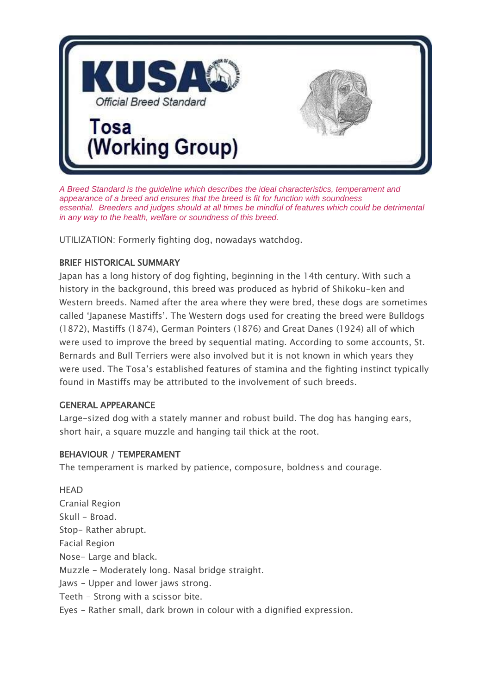

*A Breed Standard is the guideline which describes the ideal characteristics, temperament and appearance of a breed and ensures that the breed is fit for function with soundness essential. Breeders and judges should at all times be mindful of features which could be detrimental in any way to the health, welfare or soundness of this breed.*

UTILIZATION: Formerly fighting dog, nowadays watchdog.

# BRIEF HISTORICAL SUMMARY

Japan has a long history of dog fighting, beginning in the 14th century. With such a history in the background, this breed was produced as hybrid of Shikoku-ken and Western breeds. Named after the area where they were bred, these dogs are sometimes called 'Japanese Mastiffs'. The Western dogs used for creating the breed were Bulldogs (1872), Mastiffs (1874), German Pointers (1876) and Great Danes (1924) all of which were used to improve the breed by sequential mating. According to some accounts, St. Bernards and Bull Terriers were also involved but it is not known in which years they were used. The Tosa's established features of stamina and the fighting instinct typically found in Mastiffs may be attributed to the involvement of such breeds.

### GENERAL APPEARANCE

Large-sized dog with a stately manner and robust build. The dog has hanging ears, short hair, a square muzzle and hanging tail thick at the root.

### BEHAVIOUR / TEMPERAMENT

The temperament is marked by patience, composure, boldness and courage.

**HEAD** Cranial Region Skull - Broad. Stop- Rather abrupt. Facial Region Nose- Large and black. Muzzle - Moderately long. Nasal bridge straight. Jaws - Upper and lower jaws strong. Teeth - Strong with a scissor bite. Eyes - Rather small, dark brown in colour with a dignified expression.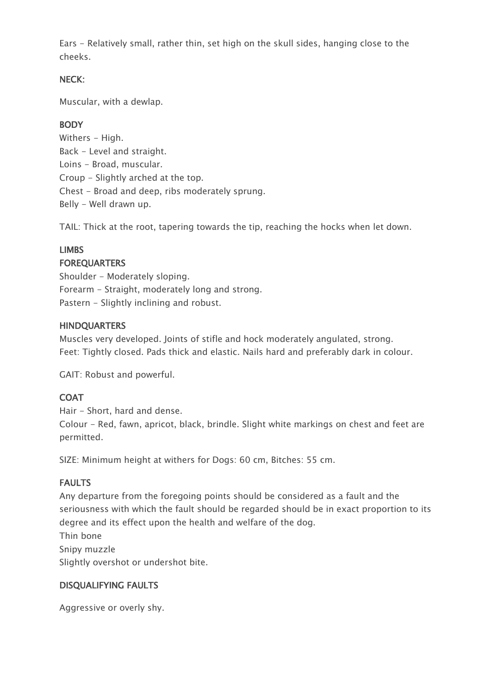Ears - Relatively small, rather thin, set high on the skull sides, hanging close to the cheeks.

### NECK:

Muscular, with a dewlap.

## **BODY**

Withers - High. Back - Level and straight. Loins - Broad, muscular. Croup - Slightly arched at the top. Chest - Broad and deep, ribs moderately sprung. Belly - Well drawn up.

TAIL: Thick at the root, tapering towards the tip, reaching the hocks when let down.

# LIMBS

### FOREQUARTERS

Shoulder - Moderately sloping. Forearm - Straight, moderately long and strong. Pastern - Slightly inclining and robust.

### **HINDQUARTERS**

Muscles very developed. Joints of stifle and hock moderately angulated, strong. Feet: Tightly closed. Pads thick and elastic. Nails hard and preferably dark in colour.

GAIT: Robust and powerful.

# **COAT**

Hair - Short, hard and dense. Colour - Red, fawn, apricot, black, brindle. Slight white markings on chest and feet are permitted.

SIZE: Minimum height at withers for Dogs: 60 cm, Bitches: 55 cm.

### FAULTS

Any departure from the foregoing points should be considered as a fault and the seriousness with which the fault should be regarded should be in exact proportion to its degree and its effect upon the health and welfare of the dog. Thin bone

Snipy muzzle Slightly overshot or undershot bite.

#### DISQUALIFYING FAULTS

Aggressive or overly shy.